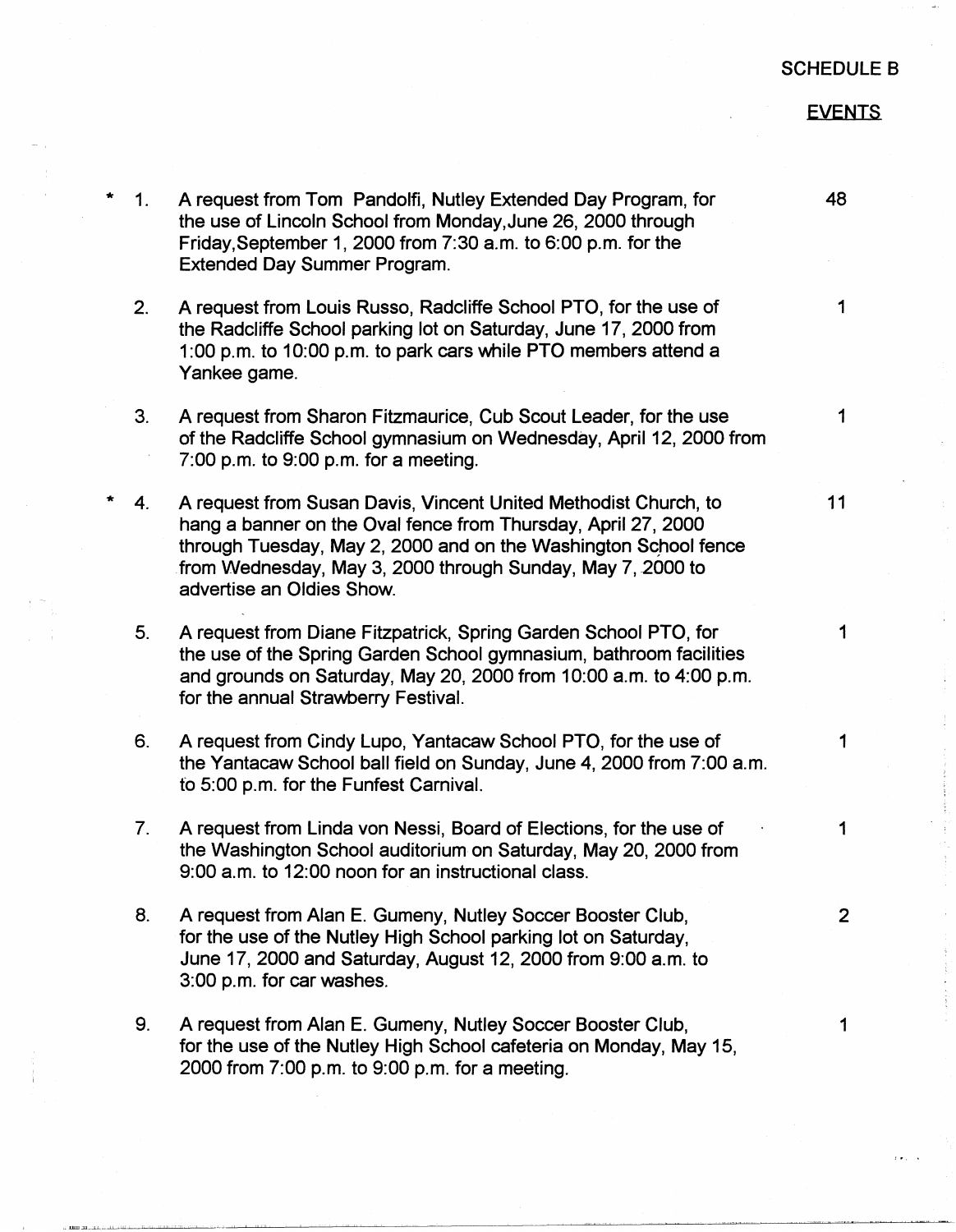## SCHEDULE B

## EVENTS

**48** 

1

1

- 11
- 
- 
- 1

1

5. A request from Diane Fitzpatrick, Spring Garden School PTO, for the use of the Spring Garden School gymnasium, bathroom facilities and grounds on Saturday, May 20, 2000 from 10:00 a.m. to 4:00 p.m. for the annual Strawberry Festival.

1. A request from Tom Pandolfi, Nutley Extended Day Program, for the use of Lincoln School from Monday,June 26, 2000 through Friday,September 1, 2000 from 7:30 a.m. to 6:00 p.m. for the

2. A request from Louis Russo, Radcliffe School PTO, for the use of

3. A request from Sharon Fitzmaurice, Cub Scout Leader, for the use

4. A request from Susan Davis, Vincent United Methodist Church, to hang a banner on the Oval fence from Thursday, April 27, 2000 through Tuesday, May 2, 2000 and on the Washington School fence from Wednesday, May 3, 2000 through Sunday, May 7, *2000* to

of the Radcliffe School gymnasium on Wednesday, April 12, 2000 from

the Radcliffe School parking lot on Saturday, June 17, 2000 from 1 :00 p.m. to 10:00 p.m. to park cars while PTO members attend a

Extended Day Summer Program.

7:00 p.m. to 9:00 p.m. for a meeting.

advertise an Oldies Show.

Yankee game.

- 6. A request from Cindy Lupo, Yantacaw School PTO, for the use of the Yantacaw School ball field on Sunday, June 4, 2000 from 7:00 a.m. to 5:00 p.m. for the Funfest Carnival.
- 7. A request from Linda von Nessi, Board of Elections, for the use of the Washington School auditorium on Saturday, May 20, 2000 from 9:00 a.m. to 12:00 noon for an instructional class.
- 8. A request from Alan E. Gumeny, Nutley Soccer Booster Club, for the use of the Nutley High School parking lot on Saturday, June 17, 2000 and Saturday, August 12, 2000 from 9:00 a.m. to 3:00 p.m. for car washes.
- 9. A request from Alan E. Gumeny, Nutley Soccer Booster Club, for the use of the Nutley High School cafeteria on Monday, May 15, 2000 from 7:00 p.m. to 9:00 p.m. for a meeting.

2

1

1